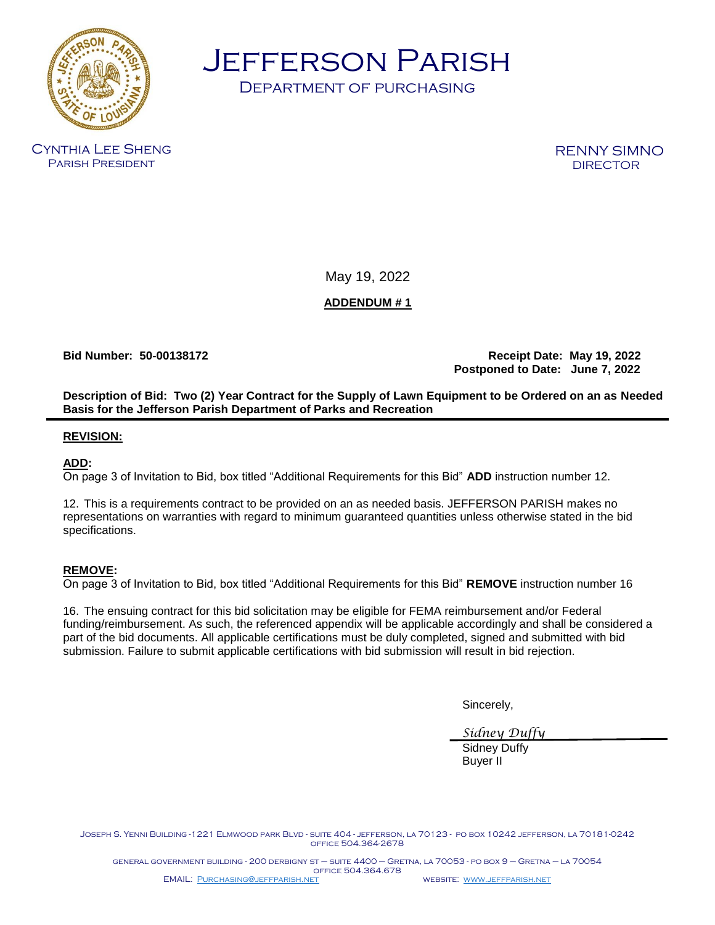

Jefferson Parish

Department of purchasing

Cynthia Lee Sheng Parish President

RENNY SIMNO **DIRECTOR** 

May 19, 2022

**ADDENDUM # 1**

**Bid Number: 50-00138172 Receipt Date: May 19, 2022 Postponed to Date: June 7, 2022**

**Description of Bid: Two (2) Year Contract for the Supply of Lawn Equipment to be Ordered on an as Needed Basis for the Jefferson Parish Department of Parks and Recreation** 

## **REVISION:**

## **ADD:**

On page 3 of Invitation to Bid, box titled "Additional Requirements for this Bid" **ADD** instruction number 12.

12. This is a requirements contract to be provided on an as needed basis. JEFFERSON PARISH makes no representations on warranties with regard to minimum guaranteed quantities unless otherwise stated in the bid specifications.

## **REMOVE:**

On page 3 of Invitation to Bid, box titled "Additional Requirements for this Bid" **REMOVE** instruction number 16

16. The ensuing contract for this bid solicitation may be eligible for FEMA reimbursement and/or Federal funding/reimbursement. As such, the referenced appendix will be applicable accordingly and shall be considered a part of the bid documents. All applicable certifications must be duly completed, signed and submitted with bid submission. Failure to submit applicable certifications with bid submission will result in bid rejection.

Sincerely,

*Sidney Duffy*

Sidney Duffy Buyer II

Joseph S. Yenni Building -1221 Elmwood park Blvd - suite 404 - jefferson, la 70123 - po box 10242 jefferson, la 70181-0242 office 504.364-2678

general government building - 200 derbigny st – suite 4400 – Gretna, la 70053 - po box 9 – Gretna – la 70054 office 504.364.678 EMAIL: [Purchasing@jeffparish.net](mailto:Purchasing@jeffparish.net) website: [www.jeffparish.net](http://www.jeffparish.net/)